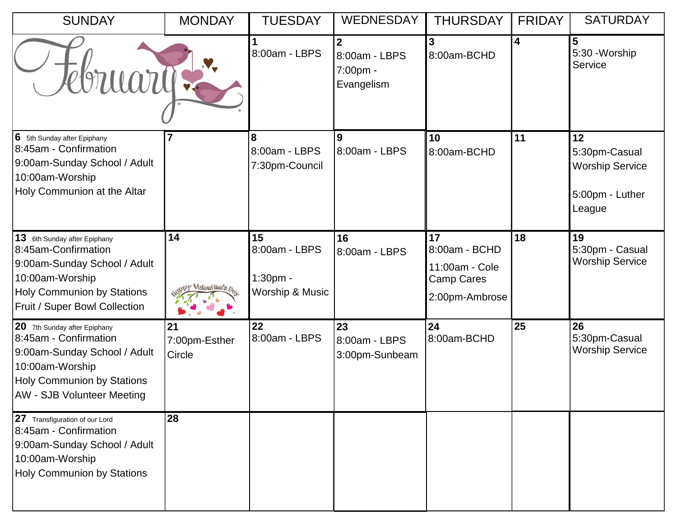| <b>SUNDAY</b>                                                                                                                                                                      | <b>MONDAY</b>                      | <b>TUESDAY</b>                                     | <b>WEDNESDAY</b>                                          | <b>THURSDAY</b>                                                       | <b>FRIDAY</b> | <b>SATURDAY</b>                                                            |
|------------------------------------------------------------------------------------------------------------------------------------------------------------------------------------|------------------------------------|----------------------------------------------------|-----------------------------------------------------------|-----------------------------------------------------------------------|---------------|----------------------------------------------------------------------------|
| Tebruary:                                                                                                                                                                          |                                    | 8:00am - LBPS                                      | $\overline{2}$<br>8:00am - LBPS<br>7:00pm -<br>Evangelism | 3<br>8:00am-BCHD                                                      | 4             | 5<br>5:30 - Worship<br>Service                                             |
| 6 5th Sunday after Epiphany<br>8:45am - Confirmation<br>9:00am-Sunday School / Adult<br>10:00am-Worship<br>Holy Communion at the Altar                                             |                                    | 8<br>8:00am - LBPS<br>7:30pm-Council               | 9<br>8:00am - LBPS                                        | 10<br>8:00am-BCHD                                                     | 11            | 12<br>5:30pm-Casual<br><b>Worship Service</b><br>5:00pm - Luther<br>League |
| 13 6th Sunday after Epiphany<br>8:45am-Confirmation<br>9:00am-Sunday School / Adult<br>10:00am-Worship<br><b>Holy Communion by Stations</b><br>Fruit / Super Bowl Collection       | 14<br>sy Valentine's <sub>Op</sub> | 15<br>8:00am - LBPS<br>1:30pm -<br>Worship & Music | 16<br>8:00am - LBPS                                       | 17<br>8:00am - BCHD<br>11:00am - Cole<br>Camp Cares<br>2:00pm-Ambrose | 18            | 19<br>5:30pm - Casual<br><b>Worship Service</b>                            |
| 20 7th Sunday after Epiphany<br>8:45am - Confirmation<br>9:00am-Sunday School / Adult<br>10:00am-Worship<br><b>Holy Communion by Stations</b><br><b>AW - SJB Volunteer Meeting</b> | 21<br>7:00pm-Esther<br>Circle      | 22<br>8:00am - LBPS                                | 23<br>8:00am - LBPS<br>3:00pm-Sunbeam                     | 24<br>8:00am-BCHD                                                     | 25            | 26<br>5:30pm-Casual<br><b>Worship Service</b>                              |
| 27 Transfiguration of our Lord<br>8:45am - Confirmation<br>9:00am-Sunday School / Adult<br>10:00am-Worship<br><b>Holy Communion by Stations</b>                                    | 28                                 |                                                    |                                                           |                                                                       |               |                                                                            |